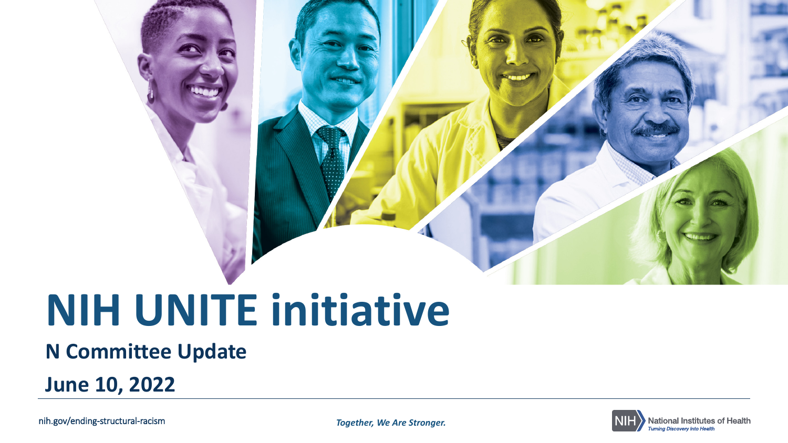# **NIH UNITE initiative**

#### **N Committee Update**

**June 10, 2022**

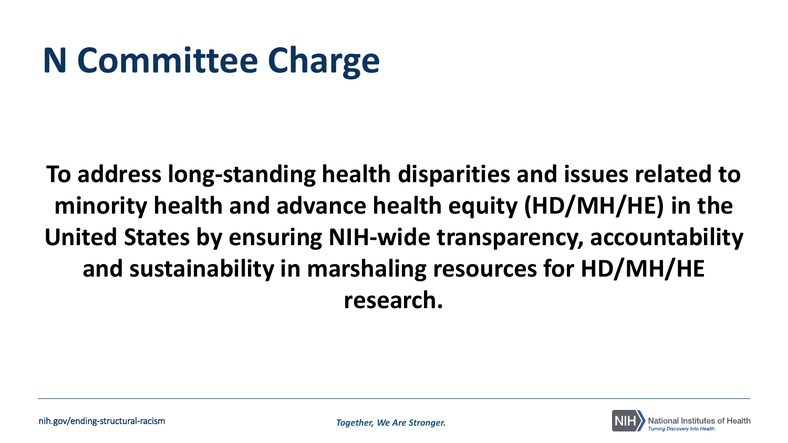## **N Committee Charge**

**To address long-standing health disparities and issues related to minority health and advance health equity (HD/MH/HE) in the United States by ensuring NIH-wide transparency, accountability and sustainability in marshaling resources for HD/MH/HE research.**

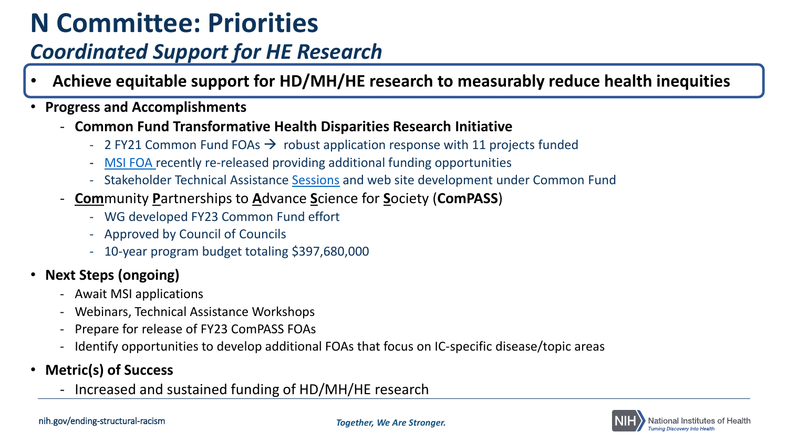## **N Committee: Priorities**

#### *Coordinated Support for HE Research*

- **Achieve equitable support for HD/MH/HE research to measurably reduce health inequities**
- **Progress and Accomplishments**
	- **Common Fund Transformative Health Disparities Research Initiative**
		- 2 FY21 Common Fund FOAs  $\rightarrow$  robust application response with 11 projects funded
		- [MSI FOA r](https://grants.nih.gov/grants/guide/rfa-files/RFA-RM-22-001.html)ecently re-released providing additional funding opportunities
		- Stakeholder Technical Assistance [Sessions](https://commonfund.nih.gov/healthdisparitiestransformation/meetings) and web site development under Common Fund
	- **Com**munity **P**artnerships to **A**dvance **S**cience for **S**ociety (**ComPASS**)
		- WG developed FY23 Common Fund effort
		- Approved by Council of Councils
		- 10-year program budget totaling \$397,680,000
- **Next Steps (ongoing)**
	- Await MSI applications
	- Webinars, Technical Assistance Workshops
	- Prepare for release of FY23 ComPASS FOAs
	- Identify opportunities to develop additional FOAs that focus on IC-specific disease/topic areas
- **Metric(s) of Success**
	- Increased and sustained funding of HD/MH/HE research

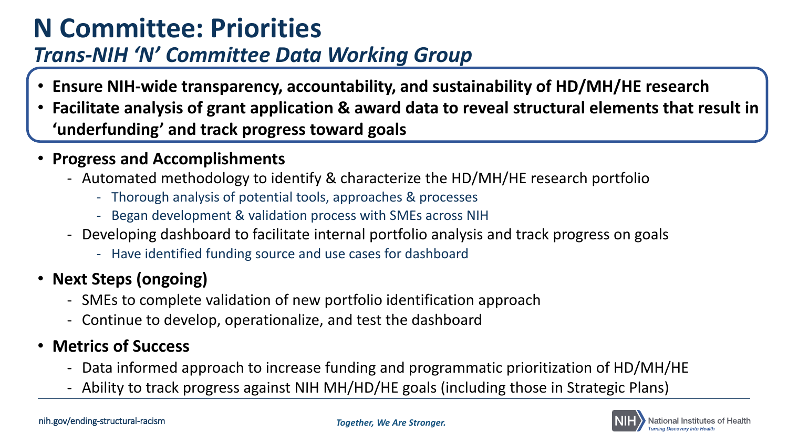### **N Committee: Priorities**

#### *Trans-NIH 'N' Committee Data Working Group*

- **Ensure NIH-wide transparency, accountability, and sustainability of HD/MH/HE research**
- **Facilitate analysis of grant application & award data to reveal structural elements that result in 'underfunding' and track progress toward goals**
- **Progress and Accomplishments**
	- Automated methodology to identify & characterize the HD/MH/HE research portfolio
		- Thorough analysis of potential tools, approaches & processes
		- Began development & validation process with SMEs across NIH
	- Developing dashboard to facilitate internal portfolio analysis and track progress on goals
		- Have identified funding source and use cases for dashboard
- **Next Steps (ongoing)**
	- SMEs to complete validation of new portfolio identification approach
	- Continue to develop, operationalize, and test the dashboard

#### • **Metrics of Success**

- Data informed approach to increase funding and programmatic prioritization of HD/MH/HE
- Ability to track progress against NIH MH/HD/HE goals (including those in Strategic Plans)

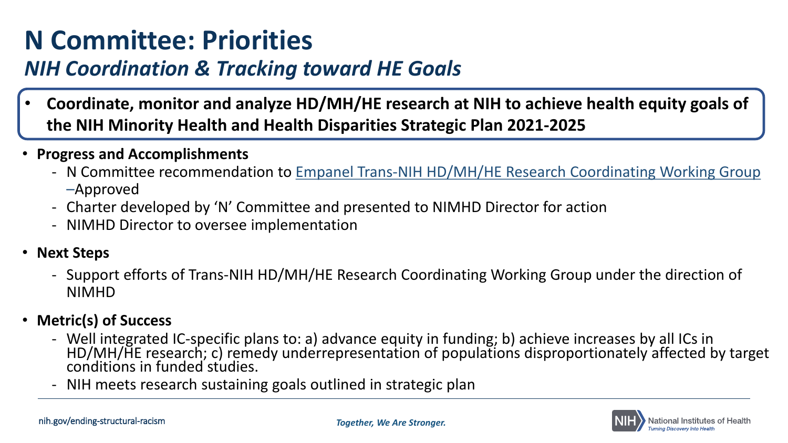### **N Committee: Priorities**

#### *NIH Coordination & Tracking toward HE Goals*

- **Coordinate, monitor and analyze HD/MH/HE research at NIH to achieve health equity goals of the NIH Minority Health and Health Disparities Strategic Plan 2021-2025**
- **Progress and Accomplishments**
	- N Committee recommendation to Empanel Trans-NIH HD/MH/HE Research Coordinating Working Group –Approved
	- Charter developed by 'N' Committee and presented to NIMHD Director for action
	- NIMHD Director to oversee implementation
- **Next Steps**
	- Support efforts of Trans-NIH HD/MH/HE Research Coordinating Working Group under the direction of NIMHD
- **Metric(s) of Success**
	- Well integrated IC-specific plans to: a) advance equity in funding; b) achieve increases by all ICs in<br>HD/MH/HE research; c) remedy underrepresentation of populations disproportionately affected by target conditions in funded studies.
	- NIH meets research sustaining goals outlined in strategic plan